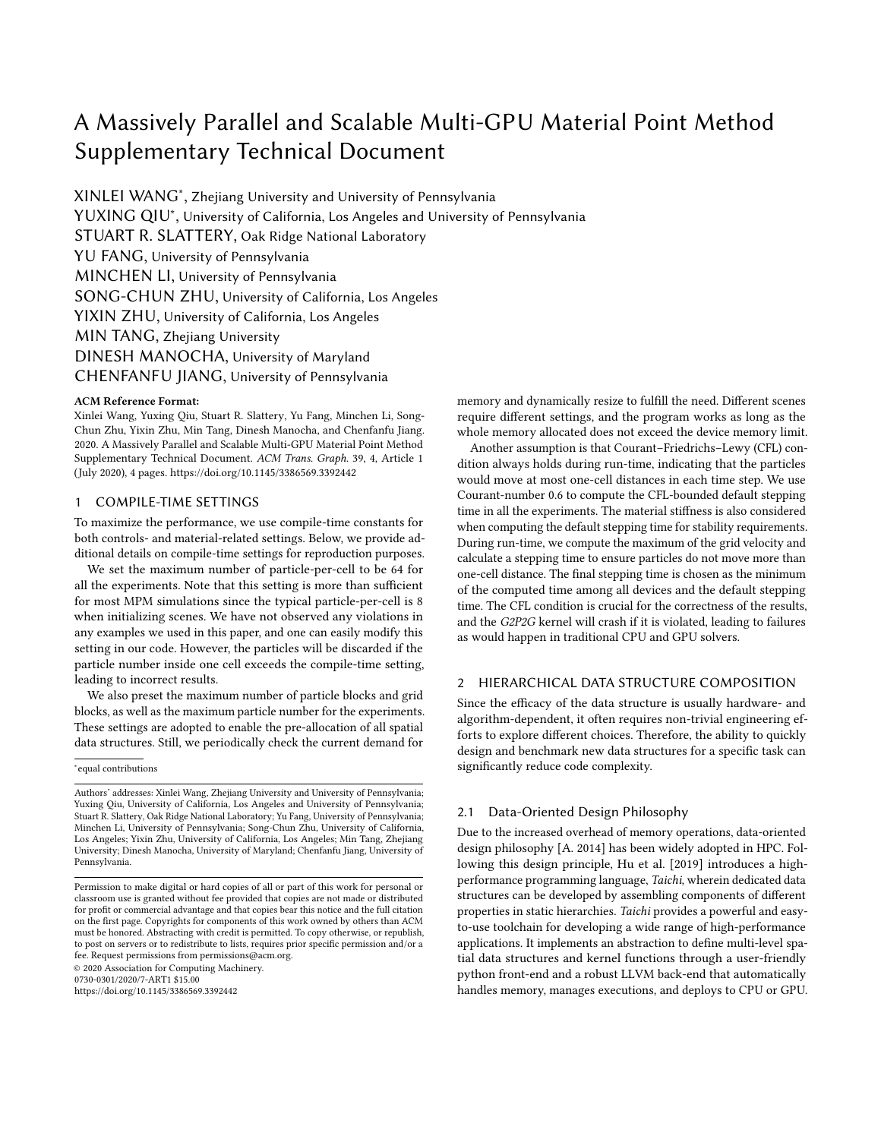# A Massively Parallel and Scalable Multi-GPU Material Point Method Supplementary Technical Document

XINLEI WANG<sup>∗</sup> , Zhejiang University and University of Pennsylvania YUXING QIU<sup>∗</sup> , University of California, Los Angeles and University of Pennsylvania STUART R. SLATTERY, Oak Ridge National Laboratory YU FANG, University of Pennsylvania MINCHEN LI, University of Pennsylvania SONG-CHUN ZHU, University of California, Los Angeles YIXIN ZHU, University of California, Los Angeles MIN TANG, Zhejiang University DINESH MANOCHA, University of Maryland CHENFANFU JIANG, University of Pennsylvania

#### ACM Reference Format:

Xinlei Wang, Yuxing Qiu, Stuart R. Slattery, Yu Fang, Minchen Li, Song-Chun Zhu, Yixin Zhu, Min Tang, Dinesh Manocha, and Chenfanfu Jiang. 2020. A Massively Parallel and Scalable Multi-GPU Material Point Method Supplementary Technical Document. ACM Trans. Graph. 39, 4, Article 1 (July 2020), [4](#page-3-0) pages.<https://doi.org/10.1145/3386569.3392442>

## 1 COMPILE-TIME SETTINGS

To maximize the performance, we use compile-time constants for both controls- and material-related settings. Below, we provide additional details on compile-time settings for reproduction purposes.

We set the maximum number of particle-per-cell to be 64 for all the experiments. Note that this setting is more than sufficient for most MPM simulations since the typical particle-per-cell is 8 when initializing scenes. We have not observed any violations in any examples we used in this paper, and one can easily modify this setting in our code. However, the particles will be discarded if the particle number inside one cell exceeds the compile-time setting, leading to incorrect results.

We also preset the maximum number of particle blocks and grid blocks, as well as the maximum particle number for the experiments. These settings are adopted to enable the pre-allocation of all spatial data structures. Still, we periodically check the current demand for

∗ equal contributions

0730-0301/2020/7-ART1 \$15.00

<https://doi.org/10.1145/3386569.3392442>

memory and dynamically resize to fulfill the need. Different scenes require different settings, and the program works as long as the whole memory allocated does not exceed the device memory limit.

Another assumption is that Courant–Friedrichs–Lewy (CFL) condition always holds during run-time, indicating that the particles would move at most one-cell distances in each time step. We use Courant-number 0.6 to compute the CFL-bounded default stepping time in all the experiments. The material stiffness is also considered when computing the default stepping time for stability requirements. During run-time, we compute the maximum of the grid velocity and calculate a stepping time to ensure particles do not move more than one-cell distance. The final stepping time is chosen as the minimum of the computed time among all devices and the default stepping time. The CFL condition is crucial for the correctness of the results, and the G2P2G kernel will crash if it is violated, leading to failures as would happen in traditional CPU and GPU solvers.

## 2 HIERARCHICAL DATA STRUCTURE COMPOSITION

Since the efficacy of the data structure is usually hardware- and algorithm-dependent, it often requires non-trivial engineering efforts to explore different choices. Therefore, the ability to quickly design and benchmark new data structures for a specific task can significantly reduce code complexity.

### 2.1 Data-Oriented Design Philosophy

Due to the increased overhead of memory operations, data-oriented design philosophy [\[A. 2014\]](#page-3-1) has been widely adopted in HPC. Following this design principle, [Hu et al.](#page-3-2) [\[2019\]](#page-3-2) introduces a highperformance programming language, Taichi, wherein dedicated data structures can be developed by assembling components of different properties in static hierarchies. Taichi provides a powerful and easyto-use toolchain for developing a wide range of high-performance applications. It implements an abstraction to define multi-level spatial data structures and kernel functions through a user-friendly python front-end and a robust LLVM back-end that automatically handles memory, manages executions, and deploys to CPU or GPU.

Authors' addresses: Xinlei Wang, Zhejiang University and University of Pennsylvania; Yuxing Qiu, University of California, Los Angeles and University of Pennsylvania; Stuart R. Slattery, Oak Ridge National Laboratory; Yu Fang, University of Pennsylvania; Minchen Li, University of Pennsylvania; Song-Chun Zhu, University of California, Los Angeles; Yixin Zhu, University of California, Los Angeles; Min Tang, Zhejiang University; Dinesh Manocha, University of Maryland; Chenfanfu Jiang, University of Pennsylvania.

Permission to make digital or hard copies of all or part of this work for personal or classroom use is granted without fee provided that copies are not made or distributed for profit or commercial advantage and that copies bear this notice and the full citation on the first page. Copyrights for components of this work owned by others than ACM must be honored. Abstracting with credit is permitted. To copy otherwise, or republish, to post on servers or to redistribute to lists, requires prior specific permission and/or a fee. Request permissions from permissions@acm.org. © 2020 Association for Computing Machinery.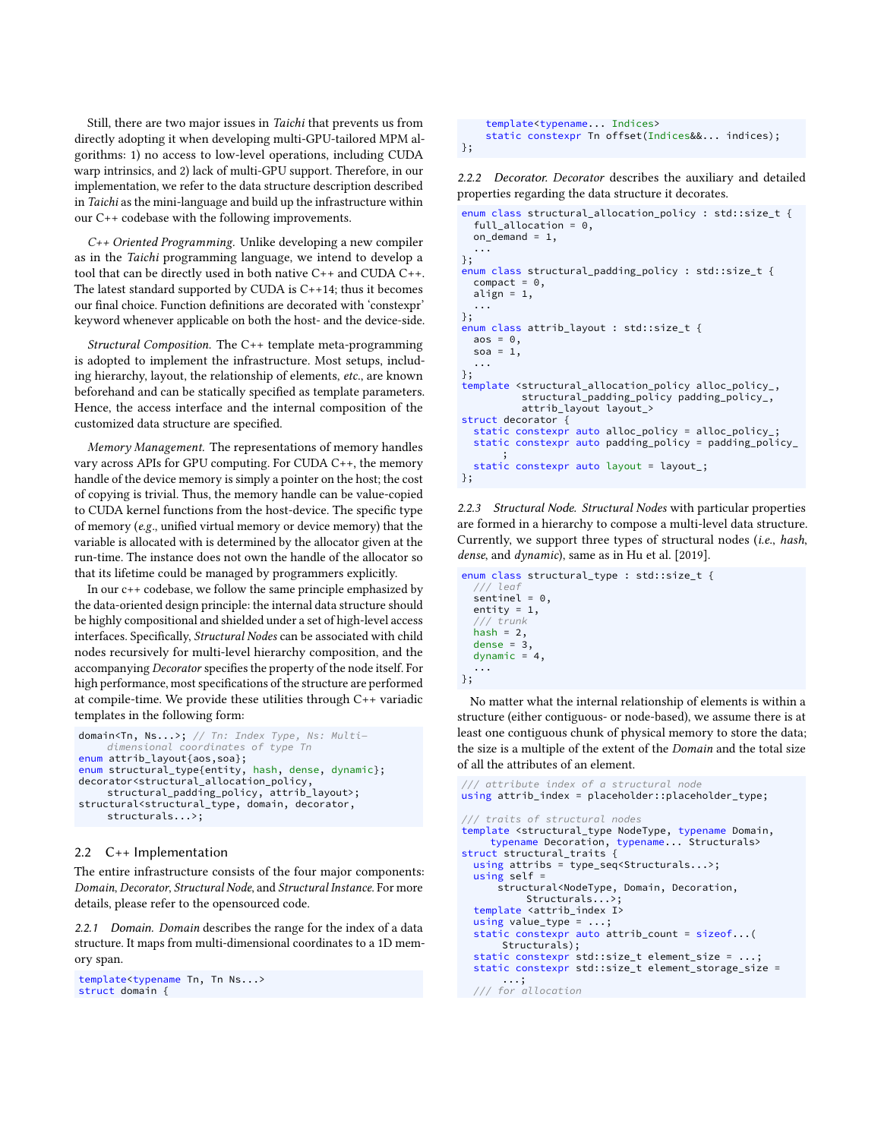Still, there are two major issues in Taichi that prevents us from directly adopting it when developing multi-GPU-tailored MPM algorithms: 1) no access to low-level operations, including CUDA warp intrinsics, and 2) lack of multi-GPU support. Therefore, in our implementation, we refer to the data structure description described in Taichi as the mini-language and build up the infrastructure within our C++ codebase with the following improvements.

C++ Oriented Programming. Unlike developing a new compiler as in the Taichi programming language, we intend to develop a tool that can be directly used in both native C++ and CUDA C++. The latest standard supported by CUDA is C++14; thus it becomes our final choice. Function definitions are decorated with 'constexpr' keyword whenever applicable on both the host- and the device-side.

Structural Composition. The C++ template meta-programming is adopted to implement the infrastructure. Most setups, including hierarchy, layout, the relationship of elements, etc., are known beforehand and can be statically specified as template parameters. Hence, the access interface and the internal composition of the customized data structure are specified.

Memory Management. The representations of memory handles vary across APIs for GPU computing. For CUDA C++, the memory handle of the device memory is simply a pointer on the host; the cost of copying is trivial. Thus, the memory handle can be value-copied to CUDA kernel functions from the host-device. The specific type of memory (e.g., unified virtual memory or device memory) that the variable is allocated with is determined by the allocator given at the run-time. The instance does not own the handle of the allocator so that its lifetime could be managed by programmers explicitly.

In our c++ codebase, we follow the same principle emphasized by the data-oriented design principle: the internal data structure should be highly compositional and shielded under a set of high-level access interfaces. Specifically, Structural Nodes can be associated with child nodes recursively for multi-level hierarchy composition, and the accompanying Decorator specifies the property of the node itself. For high performance, most specifications of the structure are performed at compile-time. We provide these utilities through C++ variadic templates in the following form:

```
domain<Tn, Ns...>; // Tn: Index Type, Ns: Multi−
     dimensional coordinates of type Tn
enum attrib_layout{aos,soa};
enum structural_type{entity, hash, dense, dynamic};
decorator<structural_allocation_policy,
structural_padding_policy, attrib_layout>;
structural<structural_type, domain, decorator,
     structurals...>;
```
### 2.2 C++ Implementation

The entire infrastructure consists of the four major components: Domain, Decorator, Structural Node, and Structural Instance. For more details, please refer to the opensourced code.

2.2.1 Domain. Domain describes the range for the index of a data structure. It maps from multi-dimensional coordinates to a 1D memory span.

```
template<typename Tn, Tn Ns...>
struct domain {
```
template<typename... Indices> static constexpr Tn offset(Indices&&... indices); };

2.2.2 Decorator. Decorator describes the auxiliary and detailed properties regarding the data structure it decorates.

```
enum class structural allocation policy : std::size t {
  full allocation = 0,
  on_demand = 1,
  ...
};
enum class structural_padding_policy : std::size_t {
  connect = 0.
  align = 1,
  ...
};
enum class attrib_layout : std::size_t {
  aos = 0.
  soa = 1.
  ...
};
template <structural_allocation_policy alloc_policy_,
          structural_padding_policy padding_policy_,
          attrib_layout layout_>
struct decorator {
  static constexpr auto alloc_policy = alloc_policy_;
  static constexpr auto padding_policy = padding_policy_
       ;
  static constexpr auto layout = layout_;
};
```
2.2.3 Structural Node. Structural Nodes with particular properties are formed in a hierarchy to compose a multi-level data structure. Currently, we support three types of structural nodes (i.e., hash, dense, and dynamic), same as in [Hu et al.](#page-3-2) [\[2019\]](#page-3-2).

enum class structural\_type : std::size\_t { /// leaf  $sentinel = 0$ . entity = 1, /// trunk hash =  $2$ . dense =  $3,$ dynamic  $= 4$ , ... };

No matter what the internal relationship of elements is within a structure (either contiguous- or node-based), we assume there is at least one contiguous chunk of physical memory to store the data; the size is a multiple of the extent of the Domain and the total size of all the attributes of an element.

```
/ attribute index of a structural node
using attrib_index = placeholder::placeholder_type;
/// traits of structural nodes
template <structural_type NodeType, typename Domain,
    typename Decoration, typename... Structurals>
struct structural_traits {
  using attribs = type_seq<Structurals...>;
  using self =
      structural<NodeType, Domain, Decoration,
         Structurals...
  template <attrib_index I>
  using value_type = ...;
  static constexpr auto attrib_count = sizeof...(
      Structurals);
  static constexpr std::size_t element_size = \ldots;
  static constexpr std::size_t element_storage_size =
       ...;
  /// for allocation
```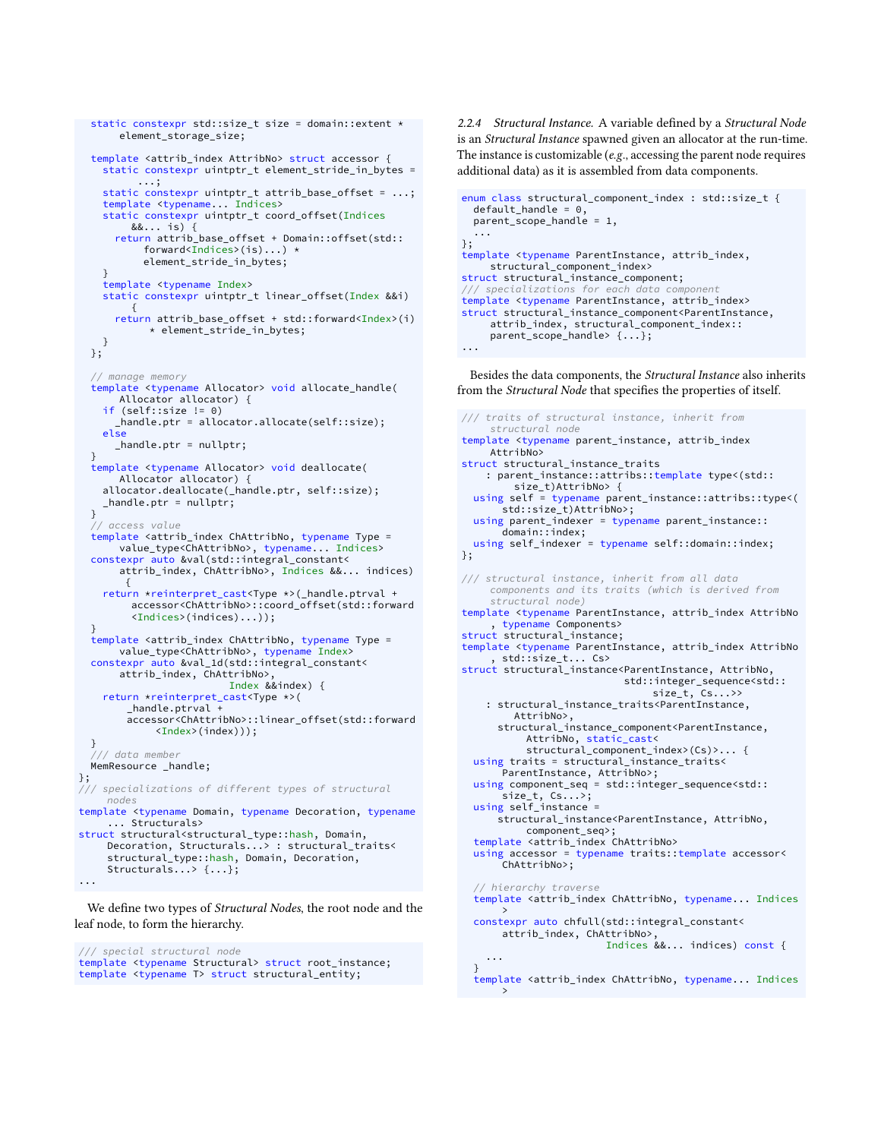```
static constexpr std::size_t size = domain::extent *
      element_storage_size;
  template <attrib_index AttribNo> struct accessor {
    static constexpr uintptr_t element_stride_in_bytes =
           ...;
    static constexpr uintptr_t attrib_base_offset = ...;
    template <typename... Indices>
    static constexpr uintptr_t coord_offset(Indices
        &&... is) {
      return attrib_base_offset + Domain::offset(std::
           forward<Indices>(is)...) *
           element_stride_in_bytes;
    }
    template <typename Index>
    static constexpr uintptr_t linear_offset(Index &&i)
         {
      return attrib_base_offset + std::forward<Index>(i)
            * element_stride_in_bytes;
   }
  };
  // manage memory
  template <typename Allocator> void allocate_handle(
      Allocator allocator) {
    if (self::size != 0)
       _handle.ptr = allocator.allocate(self::size);
    else
      _handle.ptr = nullptr;
  }
template <typename Allocator> void deallocate(
      Allocator allocator) {
    allocator.deallocate(_handle.ptr, self::size);
    _handle.ptr = nullptr;
  }
  // access value
  template <attrib_index ChAttribNo, typename Type =
      value_type<ChAttribNo>, typename... Indices>
  constexpr auto &val(std::integral_constant<
      attrib_index, ChAttribNo>, Indices &&... indices)
        {
    return *reinterpret_cast<Type *>(_handle.ptrval +
         accessor<ChAttribNo>::coord_offset(std::forward
         <Indices>(indices)...));
  }
template <attrib_index ChAttribNo, typename Type =
      value_type<ChAttribNo>, typename Index>
  constexpr auto &val_1d(std::integral_constant<
      attrib_index, ChAttribNo>,
                         Index &&index) {
    return *reinterpret_cast<Type *>(
        _handle.ptrval +
        accessor<ChAttribNo>::linear_offset(std::forward
             <Index>(index)));
  }
   /// data member
  MemResource _handle;
};
    specializations of different types of structural
    nodes
template <typename Domain, typename Decoration, typename
     ... Structurals>
struct structural<structural_type::hash, Domain,
    Decoration, Structurals...> : structural_traits<
     structural_type::hash, Domain, Decoration,
    Structurals...> {...};
...
```
We define two types of Structural Nodes, the root node and the leaf node, to form the hierarchy.

/// special structural node template <typename Structural> struct root\_instance; template <typename T> struct structural\_entity;

2.2.4 Structural Instance. A variable defined by a Structural Node is an Structural Instance spawned given an allocator at the run-time. The instance is customizable (e.g., accessing the parent node requires additional data) as it is assembled from data components.

```
enum class structural_component_index : std::size_t {
  default handle = 0,parent\_scope\_handle = 1,
  ...
};
template <typename ParentInstance, attrib_index,
    structural component index>
struct structural_instance_component;
/// specializations for each data component
template <typename ParentInstance, attrib_index>
struct structural_instance_component<ParentInstance,
     attrib_index, structural_component_index::
parent_scope_handle> {...};
...
```
Besides the data components, the Structural Instance also inherits from the Structural Node that specifies the properties of itself.

/// traits of structural instance, inherit from structural node template <typename parent\_instance, attrib\_index AttribNo> struct structural\_instance\_traits : parent\_instance::attribs::template type<(std:: size\_t)AttribNo> { using self = typename parent\_instance::attribs::type<( std::size\_t)AttribNo>; using parent\_indexer = typename parent\_instance:: domain::index; using self\_indexer = typename self::domain::index; }; /// structural instance, inherit from all data components and its traits (which is derived from structural node) template <typename ParentInstance, attrib\_index AttribNo , typename Components> struct structural\_instance; template <typename ParentInstance, attrib\_index AttribNo , std::size\_t... Cs> struct structural\_instance<ParentInstance, AttribNo, std::integer\_sequence<std:: size\_t, Cs...>> : structural\_instance\_traits<ParentInstance, AttribNo>, structural\_instance\_component<ParentInstance, AttribNo, static\_cast< structural\_component\_index>(Cs)>... { using traits = structural\_instance\_traits< ParentInstance, AttribNo>; using component\_seq = std::integer\_sequence<std:: size\_t, Cs...>; using self\_instance = structural\_instance<ParentInstance, AttribNo, component\_seq>; template <attrib\_index ChAttribNo> using accessor = typename traits::template accessor< ChAttribNo>; // hierarchy traverse template <attrib\_index ChAttribNo, typename... Indices > constexpr auto chfull(std::integral\_constant< attrib\_index, ChAttribNo>, Indices &&... indices) const { ... } template <attrib\_index ChAttribNo, typename... Indices

>